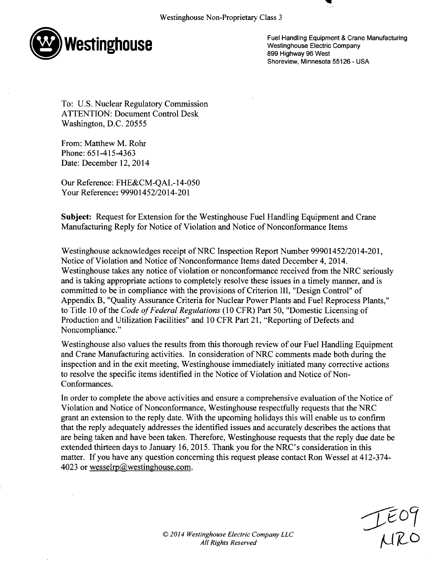

Fuel Handling Equipment & Crane Manufacturing Westinghouse Electric Company **<sup>899</sup>**Highway **96** West Shoreview, Minnesota 55126 - USA

'U

To: U.S. Nuclear Regulatory Commission ATTENTION: Document Control Desk Washington, D.C. 20555

From: Matthew M. Rohr Phone: 651-415-4363 Date: December 12, 2014

Our Reference: FHE&CM-QAL-14-050 Your Reference: 99901452/2014-201

Subject: Request for Extension for the Westinghouse Fuel Handling Equipment and Crane Manufacturing Reply for Notice of Violation and Notice of Nonconformance Items

Westinghouse acknowledges receipt of NRC Inspection Report Number 99901452/2014-201, Notice of Violation and Notice of Nonconformance Items dated December 4, 2014. Westinghouse takes any notice of violation or nonconformance received from the NRC seriously and is taking appropriate actions to completely resolve these issues in a timely manner, and is committed to be in compliance with the provisions of Criterion III, "Design Control" of Appendix B, "Quality Assurance Criteria for Nuclear Power Plants and Fuel Reprocess Plants," to Title **10** of the *Code of Federal Regulations* (10 CFR) Part 50, "Domestic Licensing of Production and Utilization Facilities" and 10 CFR Part 21, "Reporting of Defects and Noncompliance."

Westinghouse also values the results from this thorough review of our Fuel Handling Equipment and Crane Manufacturing activities. In consideration of NRC comments made both during the inspection and in the exit meeting, Westinghouse immediately initiated many corrective actions to resolve the specific items identified in the Notice of Violation and Notice of Non-Conformances.

In order to complete the above activities and ensure a comprehensive evaluation of the Notice of Violation and Notice of Nonconformance, Westinghouse respectfully requests that the NRC grant an extension to the reply date. With the upcoming holidays this will enable us to confirm that the reply adequately addresses the identified issues and accurately describes the actions that are being taken and have been taken. Therefore, Westinghouse requests that the reply due date be extended thirteen days to January 16, 2015. Thank you for the NRC's consideration in this matter. If you have any question concerning this request please contact Ron Wessel at 412-374- 4023 or wesselrp@westinghouse.com.

 $T_{170}$